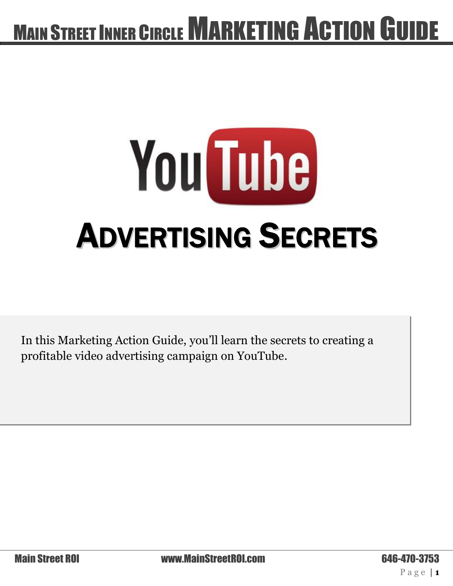# You Tube ADVERTISING SECRETS

In this Marketing Action Guide, you'll learn the secrets to creating a profitable video advertising campaign on YouTube.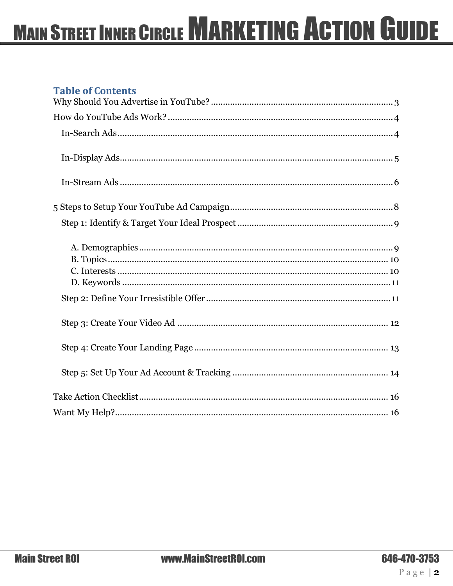#### **Table of Contents**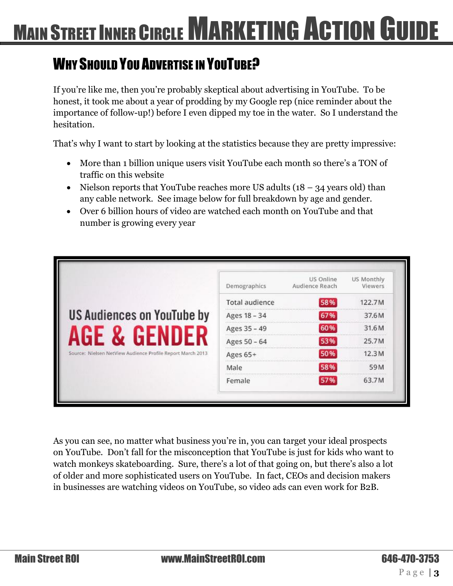### <span id="page-2-0"></span>WHY SHOULD YOU ADVERTISE IN YOUTUBE?

If you're like me, then you're probably skeptical about advertising in YouTube. To be honest, it took me about a year of prodding by my Google rep (nice reminder about the importance of follow-up!) before I even dipped my toe in the water. So I understand the hesitation.

That's why I want to start by looking at the statistics because they are pretty impressive:

- More than 1 billion unique users visit YouTube each month so there's a TON of traffic on this website
- Nielson reports that YouTube reaches more US adults  $(18 34$  years old) than any cable network. See image below for full breakdown by age and gender.
- Over 6 billion hours of video are watched each month on YouTube and that number is growing every year

|                                                            | Demographics          | US Online<br>Audience Reach | US Monthly<br>Viewers |
|------------------------------------------------------------|-----------------------|-----------------------------|-----------------------|
|                                                            | <b>Total audience</b> | 58%                         | 122.7M                |
| <b>US Audiences on YouTube by</b>                          | Ages 18 - 34          | 67%                         | 37.6M                 |
| <b>GF</b>                                                  | Ages 35 - 49          | 60%                         | 31.6M                 |
|                                                            | Ages 50 - 64          | 53%                         | 25.7M                 |
| Source: Nielsen NetView Audience Profile Report March 2013 | Ages 65+              | 50%                         | 12.3M                 |
|                                                            | Male                  | 58%                         | 59M                   |
|                                                            | Female                | 57%                         | 63.7M                 |

As you can see, no matter what business you're in, you can target your ideal prospects on YouTube. Don't fall for the misconception that YouTube is just for kids who want to watch monkeys skateboarding. Sure, there's a lot of that going on, but there's also a lot of older and more sophisticated users on YouTube. In fact, CEOs and decision makers in businesses are watching videos on YouTube, so video ads can even work for B2B.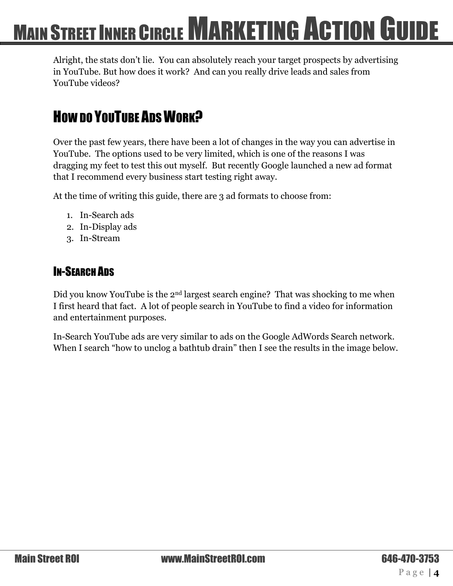Alright, the stats don't lie. You can absolutely reach your target prospects by advertising in YouTube. But how does it work? And can you really drive leads and sales from YouTube videos?

### <span id="page-3-0"></span>How DO YOUTUBE ADS WORK?

Over the past few years, there have been a lot of changes in the way you can advertise in YouTube. The options used to be very limited, which is one of the reasons I was dragging my feet to test this out myself. But recently Google launched a new ad format that I recommend every business start testing right away.

At the time of writing this guide, there are 3 ad formats to choose from:

- 1. In-Search ads
- 2. In-Display ads
- 3. In-Stream

#### <span id="page-3-1"></span>IN-SEARCH ADS

Did you know YouTube is the 2<sup>nd</sup> largest search engine? That was shocking to me when I first heard that fact. A lot of people search in YouTube to find a video for information and entertainment purposes.

In-Search YouTube ads are very similar to ads on the Google AdWords Search network. When I search "how to unclog a bathtub drain" then I see the results in the image below.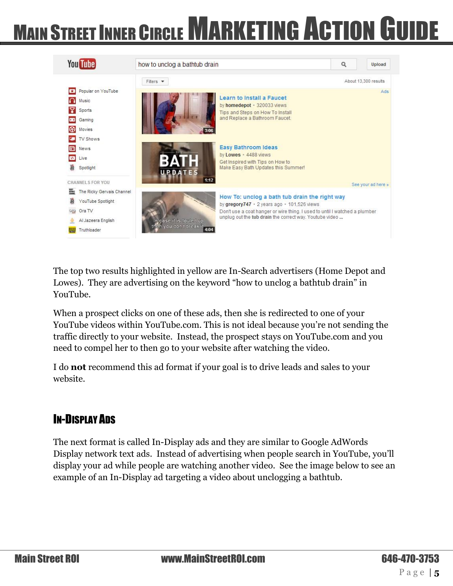

The top two results highlighted in yellow are In-Search advertisers (Home Depot and Lowes). They are advertising on the keyword "how to unclog a bathtub drain" in YouTube.

When a prospect clicks on one of these ads, then she is redirected to one of your YouTube videos within YouTube.com. This is not ideal because you're not sending the traffic directly to your website. Instead, the prospect stays on YouTube.com and you need to compel her to then go to your website after watching the video.

I do **not** recommend this ad format if your goal is to drive leads and sales to your website.

#### <span id="page-4-0"></span>IN-DISPLAY ADS

The next format is called In-Display ads and they are similar to Google AdWords Display network text ads. Instead of advertising when people search in YouTube, you'll display your ad while people are watching another video. See the image below to see an example of an In-Display ad targeting a video about unclogging a bathtub.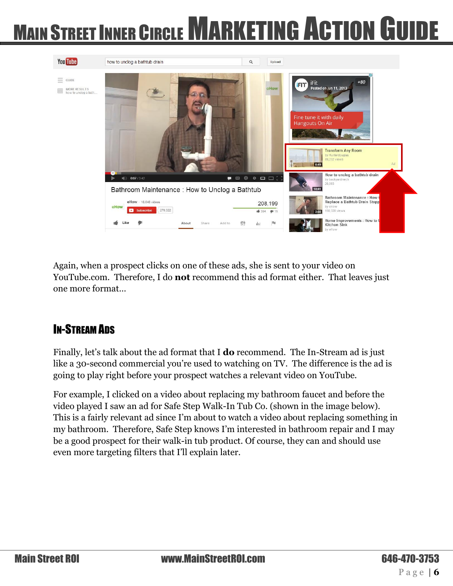

Again, when a prospect clicks on one of these ads, she is sent to your video on YouTube.com. Therefore, I do **not** recommend this ad format either. That leaves just one more format…

#### <span id="page-5-0"></span>IN-STREAM ADS

Finally, let's talk about the ad format that I **do** recommend. The In-Stream ad is just like a 30-second commercial you're used to watching on TV. The difference is the ad is going to play right before your prospect watches a relevant video on YouTube.

For example, I clicked on a video about replacing my bathroom faucet and before the video played I saw an ad for Safe Step Walk-In Tub Co. (shown in the image below). This is a fairly relevant ad since I'm about to watch a video about replacing something in my bathroom. Therefore, Safe Step knows I'm interested in bathroom repair and I may be a good prospect for their walk-in tub product. Of course, they can and should use even more targeting filters that I'll explain later.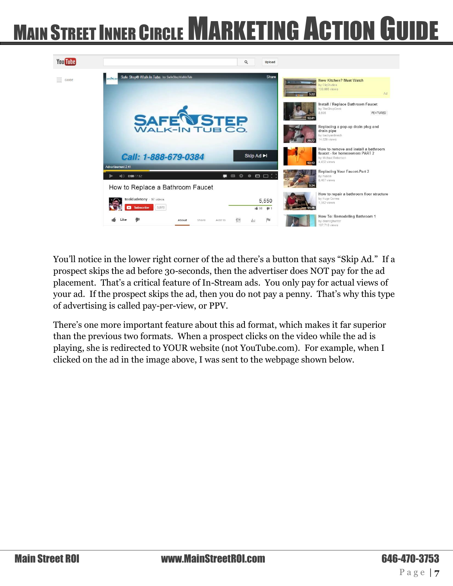

You'll notice in the lower right corner of the ad there's a button that says "Skip Ad." If a prospect skips the ad before 30-seconds, then the advertiser does NOT pay for the ad placement. That's a critical feature of In-Stream ads. You only pay for actual views of your ad. If the prospect skips the ad, then you do not pay a penny. That's why this type of advertising is called pay-per-view, or PPV.

There's one more important feature about this ad format, which makes it far superior than the previous two formats. When a prospect clicks on the video while the ad is playing, she is redirected to YOUR website (not YouTube.com). For example, when I clicked on the ad in the image above, I was sent to the webpage shown below.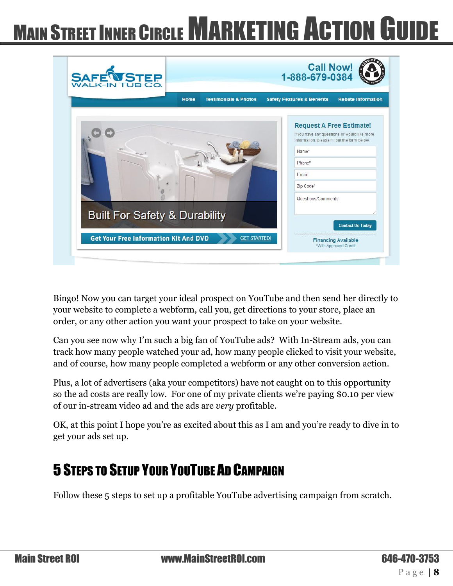| Home                                     | <b>Testimonials &amp; Photos</b> | <b>Rebate Information</b><br><b>Safety Features &amp; Benefits</b>                                                              |
|------------------------------------------|----------------------------------|---------------------------------------------------------------------------------------------------------------------------------|
|                                          |                                  | <b>Request A Free Estimate!</b><br>If you have any questions or would like more<br>information, please fill out the form below. |
|                                          |                                  | Name*                                                                                                                           |
|                                          |                                  | Phone*                                                                                                                          |
|                                          |                                  | Email                                                                                                                           |
|                                          |                                  | Zip Code*                                                                                                                       |
|                                          |                                  |                                                                                                                                 |
|                                          |                                  | Questions/Comments                                                                                                              |
|                                          |                                  |                                                                                                                                 |
| <b>Built For Safety &amp; Durability</b> |                                  | <b>Contact Us Today</b>                                                                                                         |

Bingo! Now you can target your ideal prospect on YouTube and then send her directly to your website to complete a webform, call you, get directions to your store, place an order, or any other action you want your prospect to take on your website.

Can you see now why I'm such a big fan of YouTube ads? With In-Stream ads, you can track how many people watched your ad, how many people clicked to visit your website, and of course, how many people completed a webform or any other conversion action.

Plus, a lot of advertisers (aka your competitors) have not caught on to this opportunity so the ad costs are really low. For one of my private clients we're paying \$0.10 per view of our in-stream video ad and the ads are *very* profitable.

OK, at this point I hope you're as excited about this as I am and you're ready to dive in to get your ads set up.

### <span id="page-7-0"></span>5 STEPS TO SETUP YOUR YOUTUBE AD CAMPAIGN

Follow these 5 steps to set up a profitable YouTube advertising campaign from scratch.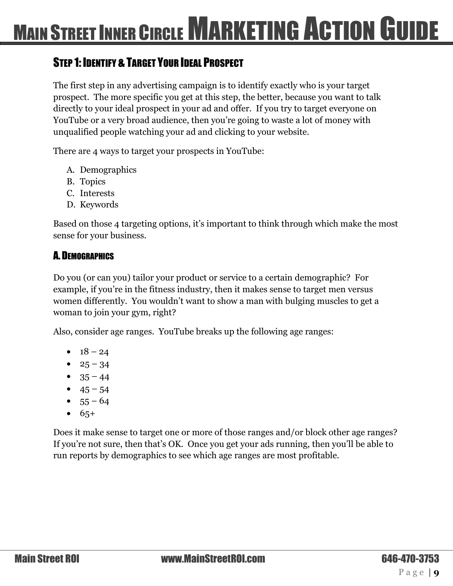#### <span id="page-8-0"></span>**STEP 1: IDENTIFY & TARGET YOUR IDEAL PROSPECT**

The first step in any advertising campaign is to identify exactly who is your target prospect. The more specific you get at this step, the better, because you want to talk directly to your ideal prospect in your ad and offer. If you try to target everyone on YouTube or a very broad audience, then you're going to waste a lot of money with unqualified people watching your ad and clicking to your website.

There are 4 ways to target your prospects in YouTube:

- A. Demographics
- B. Topics
- C. Interests
- D. Keywords

Based on those 4 targeting options, it's important to think through which make the most sense for your business.

#### <span id="page-8-1"></span>A. DEMOGRAPHICS

Do you (or can you) tailor your product or service to a certain demographic? For example, if you're in the fitness industry, then it makes sense to target men versus women differently. You wouldn't want to show a man with bulging muscles to get a woman to join your gym, right?

Also, consider age ranges. YouTube breaks up the following age ranges:

- $18 24$
- $25 34$
- $35 44$
- $45 54$
- $55 64$
- $6.65+$

Does it make sense to target one or more of those ranges and/or block other age ranges? If you're not sure, then that's OK. Once you get your ads running, then you'll be able to run reports by demographics to see which age ranges are most profitable.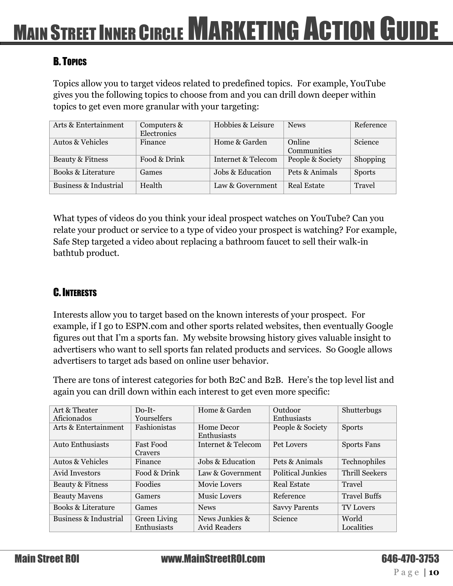#### <span id="page-9-0"></span>B. TOPICS

Topics allow you to target videos related to predefined topics. For example, YouTube gives you the following topics to choose from and you can drill down deeper within topics to get even more granular with your targeting:

| Arts & Entertainment          | Computers &  | Hobbies & Leisure  | <b>News</b>      | Reference       |
|-------------------------------|--------------|--------------------|------------------|-----------------|
|                               |              |                    |                  |                 |
|                               | Electronics  |                    |                  |                 |
| <b>Autos &amp; Vehicles</b>   | Finance      | Home & Garden      | Online           | <b>Science</b>  |
|                               |              |                    |                  |                 |
|                               |              |                    | Communities      |                 |
| Beauty & Fitness              | Food & Drink | Internet & Telecom | People & Society | <b>Shopping</b> |
|                               |              |                    |                  |                 |
| <b>Books &amp; Literature</b> | Games        | Jobs & Education   | Pets & Animals   | <b>Sports</b>   |
|                               |              |                    |                  |                 |
| Business & Industrial         | Health       | Law & Government   | Real Estate      | Travel          |
|                               |              |                    |                  |                 |
|                               |              |                    |                  |                 |

What types of videos do you think your ideal prospect watches on YouTube? Can you relate your product or service to a type of video your prospect is watching? For example, Safe Step targeted a video about replacing a bathroom faucet to sell their walk-in bathtub product.

#### <span id="page-9-1"></span>C.INTERESTS

Interests allow you to target based on the known interests of your prospect. For example, if I go to ESPN.com and other sports related websites, then eventually Google figures out that I'm a sports fan. My website browsing history gives valuable insight to advertisers who want to sell sports fan related products and services. So Google allows advertisers to target ads based on online user behavior.

There are tons of interest categories for both B2C and B2B. Here's the top level list and again you can drill down within each interest to get even more specific:

| Art & Theater         | $Do-It-$         | Home & Garden       | Outdoor                  | Shutterbugs           |
|-----------------------|------------------|---------------------|--------------------------|-----------------------|
| Aficionados           | Yourselfers      |                     | Enthusiasts              |                       |
| Arts & Entertainment  | Fashionistas     | Home Decor          | People & Society         | <b>Sports</b>         |
|                       |                  | Enthusiasts         |                          |                       |
| Auto Enthusiasts      | <b>Fast Food</b> | Internet & Telecom  | Pet Lovers               | <b>Sports Fans</b>    |
|                       | Cravers          |                     |                          |                       |
| Autos & Vehicles      | Finance          | Jobs & Education    | Pets & Animals           | Technophiles          |
| Avid Investors        | Food & Drink     | Law & Government    | <b>Political Junkies</b> | <b>Thrill Seekers</b> |
| Beauty & Fitness      | Foodies          | <b>Movie Lovers</b> | <b>Real Estate</b>       | Travel                |
| <b>Beauty Mavens</b>  | Gamers           | <b>Music Lovers</b> | Reference                | <b>Travel Buffs</b>   |
| Books & Literature    | Games            | <b>News</b>         | <b>Savvy Parents</b>     | <b>TV Lovers</b>      |
| Business & Industrial | Green Living     | News Junkies &      | Science                  | World                 |
|                       | Enthusiasts      | <b>Avid Readers</b> |                          | Localities            |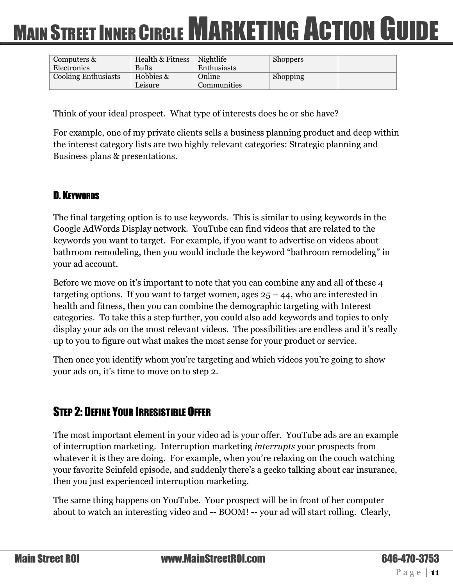| Computers &                | <b>Health &amp; Fitness</b> | Nightlife   | <b>Shoppers</b> |  |
|----------------------------|-----------------------------|-------------|-----------------|--|
| Electronics                | <b>Buffs</b>                | Enthusiasts |                 |  |
| <b>Cooking Enthusiasts</b> | Hobbies &                   | Online      | Shopping        |  |
|                            | Leisure                     | Communities |                 |  |

Think of your ideal prospect. What type of interests does he or she have?

For example, one of my private clients sells a business planning product and deep within the interest category lists are two highly relevant categories: Strategic planning and Business plans & presentations.

#### <span id="page-10-0"></span>D. KEYWORDS

The final targeting option is to use keywords. This is similar to using keywords in the Google AdWords Display network. YouTube can find videos that are related to the keywords you want to target. For example, if you want to advertise on videos about bathroom remodeling, then you would include the keyword "bathroom remodeling" in your ad account.

Before we move on it's important to note that you can combine any and all of these 4 targeting options. If you want to target women, ages  $25 - 44$ , who are interested in health and fitness, then you can combine the demographic targeting with Interest categories. To take this a step further, you could also add keywords and topics to only display your ads on the most relevant videos. The possibilities are endless and it's really up to you to figure out what makes the most sense for your product or service.

Then once you identify whom you're targeting and which videos you're going to show your ads on, it's time to move on to step 2.

#### <span id="page-10-1"></span>STEP 2: DEFINE YOUR IRRESISTIBLE OFFER

The most important element in your video ad is your offer. YouTube ads are an example of interruption marketing. Interruption marketing *interrupts* your prospects from whatever it is they are doing. For example, when you're relaxing on the couch watching your favorite Seinfeld episode, and suddenly there's a gecko talking about car insurance, then you just experienced interruption marketing.

The same thing happens on YouTube. Your prospect will be in front of her computer about to watch an interesting video and -- BOOM! -- your ad will start rolling. Clearly,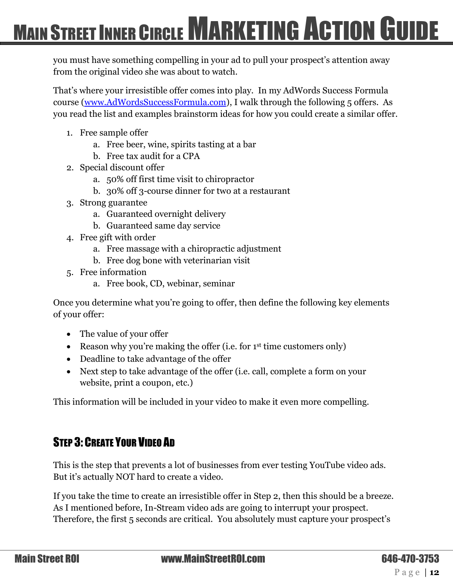you must have something compelling in your ad to pull your prospect's attention away from the original video she was about to watch.

That's where your irresistible offer comes into play. In my AdWords Success Formula course [\(www.AdWordsSuccessFormula.com\)](http://www.adwordssuccessformula.com/), I walk through the following 5 offers. As you read the list and examples brainstorm ideas for how you could create a similar offer.

- 1. Free sample offer
	- a. Free beer, wine, spirits tasting at a bar
	- b. Free tax audit for a CPA
- 2. Special discount offer
	- a. 50% off first time visit to chiropractor
	- b. 30% off 3-course dinner for two at a restaurant
- 3. Strong guarantee
	- a. Guaranteed overnight delivery
	- b. Guaranteed same day service
- 4. Free gift with order
	- a. Free massage with a chiropractic adjustment
	- b. Free dog bone with veterinarian visit
- 5. Free information
	- a. Free book, CD, webinar, seminar

Once you determine what you're going to offer, then define the following key elements of your offer:

- The value of your offer
- Reason why you're making the offer (i.e. for  $1<sup>st</sup>$  time customers only)
- Deadline to take advantage of the offer
- Next step to take advantage of the offer (i.e. call, complete a form on your website, print a coupon, etc.)

This information will be included in your video to make it even more compelling.

#### <span id="page-11-0"></span>STEP 3: CREATE YOUR VIDEO AD

This is the step that prevents a lot of businesses from ever testing YouTube video ads. But it's actually NOT hard to create a video.

If you take the time to create an irresistible offer in Step 2, then this should be a breeze. As I mentioned before, In-Stream video ads are going to interrupt your prospect. Therefore, the first 5 seconds are critical. You absolutely must capture your prospect's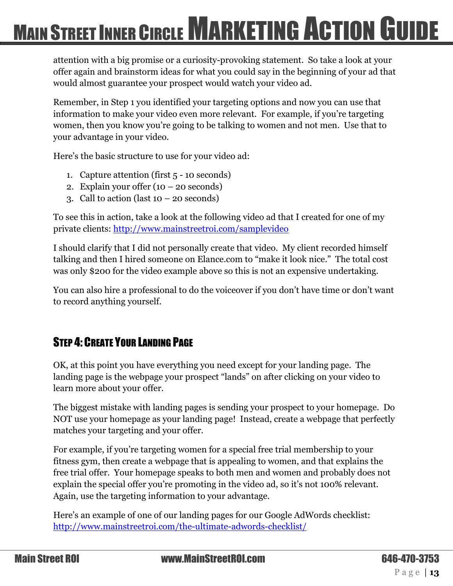attention with a big promise or a curiosity-provoking statement. So take a look at your offer again and brainstorm ideas for what you could say in the beginning of your ad that would almost guarantee your prospect would watch your video ad.

Remember, in Step 1 you identified your targeting options and now you can use that information to make your video even more relevant. For example, if you're targeting women, then you know you're going to be talking to women and not men. Use that to your advantage in your video.

Here's the basic structure to use for your video ad:

- 1. Capture attention (first 5 10 seconds)
- 2. Explain your offer  $(10 20$  seconds)
- 3. Call to action (last  $10 20$  seconds)

To see this in action, take a look at the following video ad that I created for one of my private clients:<http://www.mainstreetroi.com/samplevideo>

I should clarify that I did not personally create that video. My client recorded himself talking and then I hired someone on Elance.com to "make it look nice." The total cost was only \$200 for the video example above so this is not an expensive undertaking.

You can also hire a professional to do the voiceover if you don't have time or don't want to record anything yourself.

#### <span id="page-12-0"></span>STEP 4: CREATE YOUR LANDING PAGE

OK, at this point you have everything you need except for your landing page. The landing page is the webpage your prospect "lands" on after clicking on your video to learn more about your offer.

The biggest mistake with landing pages is sending your prospect to your homepage. Do NOT use your homepage as your landing page! Instead, create a webpage that perfectly matches your targeting and your offer.

For example, if you're targeting women for a special free trial membership to your fitness gym, then create a webpage that is appealing to women, and that explains the free trial offer. Your homepage speaks to both men and women and probably does not explain the special offer you're promoting in the video ad, so it's not 100% relevant. Again, use the targeting information to your advantage.

Here's an example of one of our landing pages for our Google AdWords checklist: <http://www.mainstreetroi.com/the-ultimate-adwords-checklist/>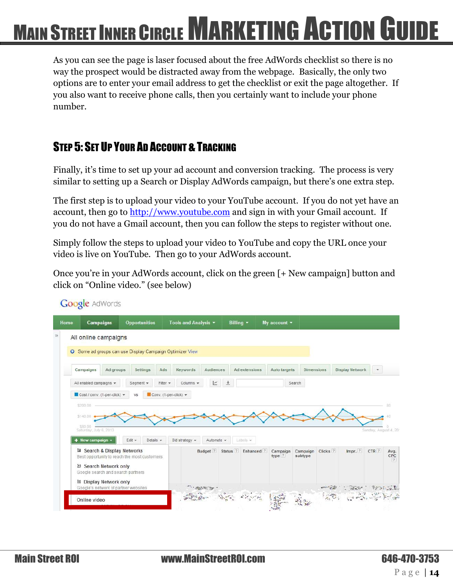As you can see the page is laser focused about the free AdWords checklist so there is no way the prospect would be distracted away from the webpage. Basically, the only two options are to enter your email address to get the checklist or exit the page altogether. If you also want to receive phone calls, then you certainly want to include your phone number.

#### <span id="page-13-0"></span>STEP 5: SET UP YOUR AD ACCOUNT & TRACKING

Finally, it's time to set up your ad account and conversion tracking. The process is very similar to setting up a Search or Display AdWords campaign, but there's one extra step.

The first step is to upload your video to your YouTube account. If you do not yet have an account, then go to [http://www.youtube.com](http://www.youtube.com/) and sign in with your Gmail account. If you do not have a Gmail account, then you can follow the steps to register without one.

Simply follow the steps to upload your video to YouTube and copy the URL once your video is live on YouTube. Then go to your AdWords account.

Once you're in your AdWords account, click on the green [+ New campaign] button and click on "Online video." (see below)

| Campaigns               |                                                                       | Opportunities                                                   |                                                         | Tools and Analysis * |            | Billing $\star$      |               | My account $\star$ |                   |                     |                        |                       |  |
|-------------------------|-----------------------------------------------------------------------|-----------------------------------------------------------------|---------------------------------------------------------|----------------------|------------|----------------------|---------------|--------------------|-------------------|---------------------|------------------------|-----------------------|--|
|                         | All online campaigns                                                  |                                                                 |                                                         |                      |            |                      |               |                    |                   |                     |                        |                       |  |
|                         |                                                                       | <b>O</b> Some ad groups can use Display Campaign Optimizer View |                                                         |                      |            |                      |               |                    |                   |                     |                        |                       |  |
|                         |                                                                       |                                                                 |                                                         |                      |            |                      |               |                    |                   |                     |                        |                       |  |
| Campaigns               | Ad groups                                                             | Settings                                                        | Ads                                                     | Keywords             | Audiences  |                      | Ad extensions | Auto targets       | <b>Dimensions</b> |                     | <b>Display Network</b> | $\mathbf{w}$          |  |
| All enabled campaigns v |                                                                       | Segment +                                                       | Filter +                                                | Columns -            | ビ          | $\ddot{\phantom{1}}$ |               |                    | Search            |                     |                        |                       |  |
|                         |                                                                       |                                                                 |                                                         |                      |            |                      |               |                    |                   |                     |                        |                       |  |
|                         |                                                                       |                                                                 |                                                         |                      |            |                      |               |                    |                   |                     |                        |                       |  |
|                         | Cost / conv. (1-per-click) *                                          | VS.                                                             | $\blacksquare$ Conv. (1-per-click) $\blacktriangledown$ |                      |            |                      |               |                    |                   |                     |                        |                       |  |
| \$200.00                |                                                                       |                                                                 |                                                         |                      |            |                      |               |                    |                   |                     |                        |                       |  |
| \$140.00                |                                                                       |                                                                 |                                                         |                      |            |                      |               |                    |                   |                     |                        |                       |  |
| \$80.00                 |                                                                       |                                                                 |                                                         |                      |            |                      |               |                    |                   |                     |                        |                       |  |
| Saturday, July 6, 2013  |                                                                       |                                                                 |                                                         |                      |            |                      |               |                    |                   |                     |                        | Sunday, August 4, 201 |  |
| $+$ New campaign $+$    |                                                                       | Edit +<br>Details v                                             |                                                         | Bid strategy +       | Automate - |                      | Labels v      |                    |                   |                     |                        |                       |  |
|                         | Search & Display Networks                                             |                                                                 |                                                         |                      | Budget ?   | Status <sup>?</sup>  | Enhanced ?    | Campaign           | Campaign          | Clicks <sup>?</sup> | Impr. ?                | CTR ?                 |  |
|                         |                                                                       | Best opportunity to reach the most customers                    |                                                         |                      |            |                      |               | type ?             | subtype           |                     |                        |                       |  |
|                         | <b>El Search Network only</b>                                         |                                                                 |                                                         |                      |            |                      |               |                    |                   |                     |                        |                       |  |
|                         | Google search and search partners                                     |                                                                 |                                                         |                      |            |                      |               |                    |                   |                     |                        |                       |  |
|                         | <b>图 Display Network only</b><br>Google's network of partner websites |                                                                 |                                                         | " THE THE THE "      |            |                      |               |                    |                   | #のけて (法)            | 49.37                  | Particular            |  |

**Google AdWords**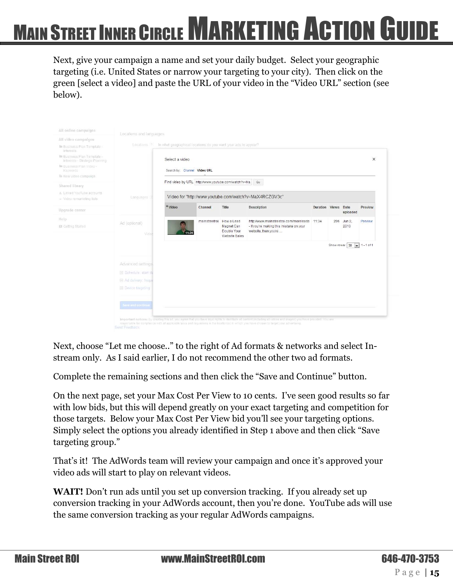Next, give your campaign a name and set your daily budget. Select your geographic targeting (i.e. United States or narrow your targeting to your city). Then click on the green [select a video] and paste the URL of your video in the "Video URL" section (see below).

| All online campaigns                                       | Locations and languages    |                                                                |                                                      |                           |                                                                                                                                                                     |                     |     |                                      |          |
|------------------------------------------------------------|----------------------------|----------------------------------------------------------------|------------------------------------------------------|---------------------------|---------------------------------------------------------------------------------------------------------------------------------------------------------------------|---------------------|-----|--------------------------------------|----------|
| All video campaigns                                        |                            |                                                                |                                                      |                           |                                                                                                                                                                     |                     |     |                                      |          |
| la Business Plan Template -<br>Interests                   | Locations 17               | In what geographical locations do you want your ads to appear? |                                                      |                           |                                                                                                                                                                     |                     |     |                                      |          |
| Business Plan Template -<br>Interests - Strategic Planning |                            | Select a video                                                 |                                                      |                           |                                                                                                                                                                     |                     |     |                                      | $\times$ |
| <b>E Business Plan Video -</b><br>Keywords                 |                            | Search by: Channel Video URL                                   |                                                      |                           |                                                                                                                                                                     |                     |     |                                      |          |
| <sup>≥</sup> New video campaign                            |                            |                                                                | Find video by URL http://www.youtube.com/watch?v=Ma. |                           | Go                                                                                                                                                                  |                     |     |                                      |          |
| Shared library                                             |                            |                                                                |                                                      |                           |                                                                                                                                                                     |                     |     |                                      |          |
| L Linked YouTube accounts<br>. Video remarketing lists     | Languages                  |                                                                |                                                      |                           | Video for "http://www.youtube.com/watch?v=MaX4RCZGV3c"                                                                                                              |                     |     |                                      |          |
| Upgrade center                                             |                            | $*$ Video                                                      | Channel                                              | Title                     | Description                                                                                                                                                         | Duration Views Date |     | uploaded                             | Preview  |
| Help                                                       | Ad (optional)              |                                                                | mainstreetroi                                        | How a Lead                | http://www.mainstreetroi.com/moreleads 11:34                                                                                                                        |                     | 296 | Jun 2.                               | Preview  |
| <b>In Getting Started</b>                                  | Video                      |                                                                |                                                      | Magnet Can<br>Double Your | - If you're making this mistake on your<br>website, then you're                                                                                                     |                     |     | 2013                                 |          |
|                                                            |                            |                                                                |                                                      | Website Sales             |                                                                                                                                                                     |                     |     |                                      |          |
|                                                            |                            |                                                                |                                                      |                           |                                                                                                                                                                     |                     |     | Show rows: $30 \boxed{)}$ 1 - 1 of 1 |          |
|                                                            |                            |                                                                |                                                      |                           |                                                                                                                                                                     |                     |     |                                      |          |
|                                                            | Advanced settings          |                                                                |                                                      |                           |                                                                                                                                                                     |                     |     |                                      |          |
|                                                            | El Schedule, start da      |                                                                |                                                      |                           |                                                                                                                                                                     |                     |     |                                      |          |
|                                                            | El Ad delivery: freque     |                                                                |                                                      |                           |                                                                                                                                                                     |                     |     |                                      |          |
|                                                            | <b>El Device targeting</b> |                                                                |                                                      |                           |                                                                                                                                                                     |                     |     |                                      |          |
|                                                            |                            |                                                                |                                                      |                           |                                                                                                                                                                     |                     |     |                                      |          |
|                                                            | Save and continue          |                                                                |                                                      |                           |                                                                                                                                                                     |                     |     |                                      |          |
|                                                            |                            |                                                                |                                                      |                           |                                                                                                                                                                     |                     |     |                                      |          |
|                                                            |                            |                                                                |                                                      |                           | Important notices: By creating this ad, you agree that you have legal rights to distribute all content (including all videos and images) you have provided. You are |                     |     |                                      |          |
|                                                            | Send Feedback              |                                                                |                                                      |                           | responsible for compliance with all applicable laws and regulations in the location(s) in which you have chosen to target your advertising                          |                     |     |                                      |          |

Next, choose "Let me choose.." to the right of Ad formats & networks and select Instream only. As I said earlier, I do not recommend the other two ad formats.

Complete the remaining sections and then click the "Save and Continue" button.

On the next page, set your Max Cost Per View to 10 cents. I've seen good results so far with low bids, but this will depend greatly on your exact targeting and competition for those targets. Below your Max Cost Per View bid you'll see your targeting options. Simply select the options you already identified in Step 1 above and then click "Save targeting group."

That's it! The AdWords team will review your campaign and once it's approved your video ads will start to play on relevant videos.

**WAIT!** Don't run ads until you set up conversion tracking. If you already set up conversion tracking in your AdWords account, then you're done. YouTube ads will use the same conversion tracking as your regular AdWords campaigns.